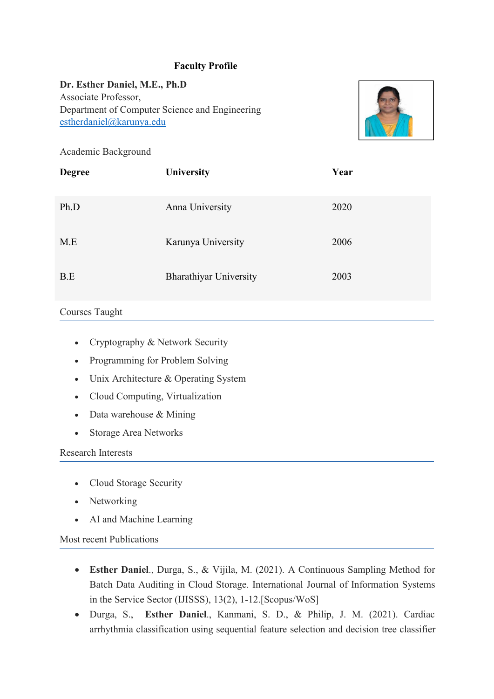## **Faculty Profile**

**Dr. Esther Daniel, M.E., Ph.D** Associate Professor, Department of Computer Science and Engineering [estherdaniel@karunya.edu](mailto:sujitha@karunya.edu)



Academic Background

| <b>Degree</b> | University                    | Year |
|---------------|-------------------------------|------|
| Ph.D          | Anna University               | 2020 |
| M.E           | Karunya University            | 2006 |
| B.E           | <b>Bharathiyar University</b> | 2003 |

### Courses Taught

- Cryptography & Network Security
- Programming for Problem Solving
- Unix Architecture & Operating System
- Cloud Computing, Virtualization
- Data warehouse & Mining
- Storage Area Networks

#### Research Interests

- Cloud Storage Security
- Networking
- AI and Machine Learning

## Most recent Publications

- **Esther Daniel**., Durga, S., & Vijila, M. (2021). A Continuous Sampling Method for Batch Data Auditing in Cloud Storage. International Journal of Information Systems in the Service Sector (IJISSS), 13(2), 1-12.[Scopus/WoS]
- Durga, S., **Esther Daniel**., Kanmani, S. D., & Philip, J. M. (2021). Cardiac arrhythmia classification using sequential feature selection and decision tree classifier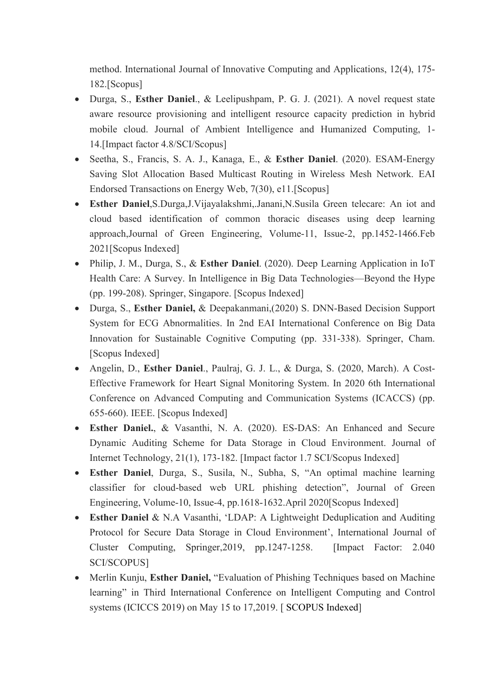method. International Journal of Innovative Computing and Applications, 12(4), 175- 182.[Scopus]

- Durga, S., **Esther Daniel**.,& Leelipushpam, P. G. J. (2021). A novel request state aware resource provisioning and intelligent resource capacity prediction in hybrid mobile cloud. Journal of Ambient Intelligence and Humanized Computing, 1- 14.[Impact factor 4.8/SCI/Scopus]
- Seetha,S., Francis, S. A. J., Kanaga, E., & **Esther Daniel**. (2020). ESAM-Energy Saving Slot Allocation Based Multicast Routing in Wireless Mesh Network. EAI Endorsed Transactions on Energy Web, 7(30), e11.[Scopus]
- **Esther Daniel**,S.Durga,J.Vijayalakshmi,.Janani,N.Susila Green telecare: An iot and cloud based identification of common thoracic diseases using deep learning approach,Journal of Green Engineering, Volume-11, Issue-2, pp.1452-1466.Feb 2021[Scopus Indexed]
- Philip, J. M., Durga, S., & **Esther Daniel**. (2020). Deep Learning Application in IoT Health Care: A Survey. In Intelligence in Big Data Technologies—Beyond the Hype (pp. 199-208). Springer, Singapore. [Scopus Indexed]
- Durga, S., **Esther Daniel,** & Deepakanmani,(2020) S. DNN-Based Decision Support System for ECG Abnormalities. In 2nd EAI International Conference on Big Data Innovation for Sustainable Cognitive Computing (pp. 331-338). Springer, Cham. [Scopus Indexed]
- Angelin, D., **Esther Daniel**.,Paulraj, G. J. L., & Durga, S. (2020, March). A Cost- Effective Framework for Heart Signal Monitoring System. In 2020 6th International Conference on Advanced Computing and Communication Systems (ICACCS) (pp. 655-660). IEEE. [Scopus Indexed]
- **Esther Daniel.**, & Vasanthi, N. A. (2020). ES-DAS: An Enhanced and Secure Dynamic Auditing Scheme for Data Storage in Cloud Environment. Journal of Internet Technology, 21(1), 173-182. [Impact factor 1.7 SCI/Scopus Indexed]
- **Esther Daniel**, Durga, S., Susila, N., Subha, S, "An optimal machine learning classifier for cloud-based web URL phishing detection", Journal of Green Engineering, Volume-10, Issue-4, pp.1618-1632.April 2020[Scopus Indexed]
- **Esther Daniel** & N.A Vasanthi, 'LDAP: A Lightweight Deduplication and Auditing Protocol for Secure Data Storage in Cloud Environment', International Journal of Cluster Computing, Springer,2019, pp.1247-1258. [Impact Factor: 2.040 SCI/SCOPUS]
- Merlin Kunju, **Esther Daniel,** "Evaluation of Phishing Techniques based on Machine learning" in Third International Conference on Intelligent Computing and Control systems (ICICCS 2019) on May 15 to 17,2019. [ SCOPUS Indexed]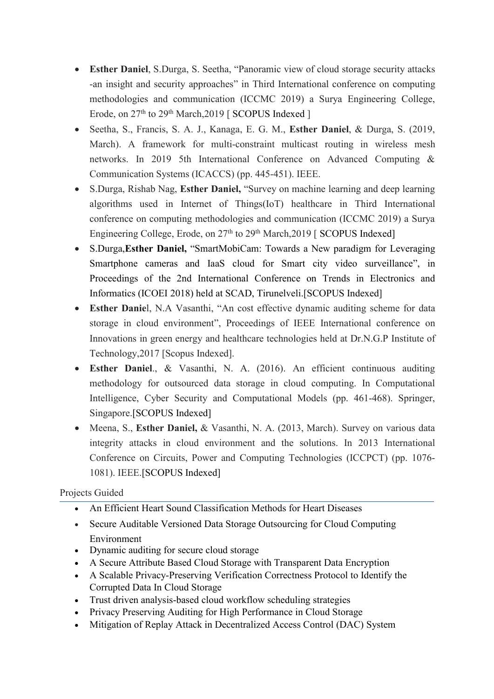- **Esther Daniel**, S.Durga, S. Seetha, "Panoramic view of cloud storage security attacks -an insight and security approaches" in Third International conference on computing methodologies and communication (ICCMC 2019) a Surya Engineering College, Erode, on 27<sup>th</sup> to 29<sup>th</sup> March,2019 [ SCOPUS Indexed ]
- Seetha,S., Francis, S. A. J., Kanaga, E. G. M., **Esther Daniel**, & Durga, S. (2019, March). A framework for multi-constraint multicast routing in wireless mesh networks. In 2019 5th International Conference on Advanced Computing & Communication Systems (ICACCS) (pp. 445-451). IEEE.
- S.Durga, Rishab Nag, **Esther Daniel,** "Survey on machine learning and deep learning algorithms used in Internet of Things(IoT) healthcare in Third International conference on computing methodologies and communication (ICCMC 2019) a Surya Engineering College, Erode, on 27<sup>th</sup> to 29<sup>th</sup> March,2019 [ SCOPUS Indexed]
- S.Durga,**Esther Daniel,** "SmartMobiCam: Towards a New paradigm for Leveraging Smartphone cameras and IaaS cloud for Smart city video surveillance", in Proceedings of the 2nd International Conference on Trends in Electronics and Informatics (ICOEI 2018) held at SCAD, Tirunelveli.[SCOPUS Indexed]
- **Esther Danie**l, N.A Vasanthi, "An cost effective dynamic auditing scheme for data storage in cloud environment", Proceedings of IEEE International conference on Innovations in green energy and healthcare technologies held at Dr.N.G.P Institute of Technology,2017 [Scopus Indexed].
- **Esther Daniel**., & Vasanthi, N. A. (2016). An efficient continuous auditing methodology for outsourced data storage in cloud computing. In Computational Intelligence, Cyber Security and Computational Models (pp. 461-468). Springer, Singapore.[SCOPUS Indexed]
- Meena, S., **Esther Daniel,** & Vasanthi, N. A. (2013, March). Survey on various data integrity attacks in cloud environment and the solutions. In 2013 International Conference on Circuits, Power and Computing Technologies (ICCPCT) (pp. 1076- 1081). IEEE.[SCOPUS Indexed]

# Projects Guided

- An Efficient Heart Sound Classification Methods for Heart Diseases
- Secure Auditable Versioned Data Storage Outsourcing for Cloud Computing Environment
- Dynamic auditing for secure cloud storage
- A Secure Attribute Based Cloud Storage with Transparent Data Encryption
- A Scalable Privacy-Preserving Verification Correctness Protocol to Identify the Corrupted Data In Cloud Storage
- Trust driven analysis-based cloud workflow scheduling strategies
- Privacy Preserving Auditing for High Performance in Cloud Storage
- Mitigation of Replay Attack in Decentralized Access Control (DAC) System